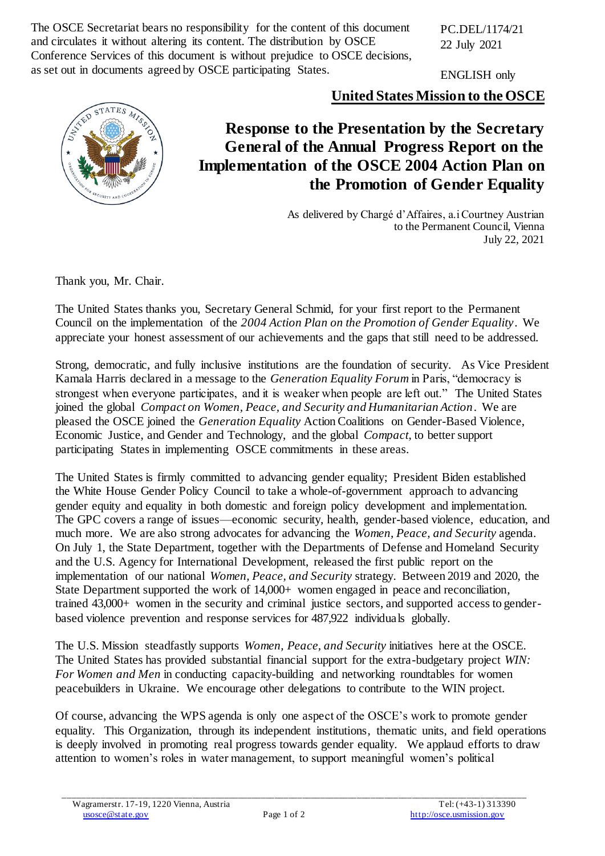The OSCE Secretariat bears no responsibility for the content of this document and circulates it without altering its content. The distribution by OSCE Conference Services of this document is without prejudice to OSCE decisions, as set out in documents agreed by OSCE participating States.

PC.DEL/1174/21 22 July 2021

ENGLISH only

**United States Mission to the OSCE**



## **Response to the Presentation by the Secretary General of the Annual Progress Report on the Implementation of the OSCE 2004 Action Plan on the Promotion of Gender Equality**

As delivered by Chargé d'Affaires, a.i Courtney Austrian to the Permanent Council, Vienna July 22, 2021

Thank you, Mr. Chair.

The United States thanks you, Secretary General Schmid, for your first report to the Permanent Council on the implementation of the *2004 Action Plan on the Promotion of Gender Equality*. We appreciate your honest assessment of our achievements and the gaps that still need to be addressed.

Strong, democratic, and fully inclusive institutions are the foundation of security. As Vice President Kamala Harris declared in a message to the *Generation Equality Forum* in Paris, "democracy is strongest when everyone participates, and it is weaker when people are left out." The United States joined the global *Compact on Women, Peace, and Security and Humanitarian Action*. We are pleased the OSCE joined the *Generation Equality* Action Coalitions on Gender-Based Violence, Economic Justice, and Gender and Technology, and the global *Compact*, to better support participating States in implementing OSCE commitments in these areas.

The United States is firmly committed to advancing gender equality; President Biden established the White House Gender Policy Council to take a whole-of-government approach to advancing gender equity and equality in both domestic and foreign policy development and implementation. The GPC covers a range of issues—economic security, health, gender-based violence, education, and much more. We are also strong advocates for advancing the *Women, Peace, and Security* agenda. On July 1, the State Department, together with the Departments of Defense and Homeland Security and the U.S. Agency for International Development, released the first public report on the implementation of our national *Women, Peace, and Security* strategy. Between 2019 and 2020, the State Department supported the work of 14,000+ women engaged in peace and reconciliation, trained 43,000+ women in the security and criminal justice sectors, and supported access to genderbased violence prevention and response services for 487,922 individuals globally.

The U.S. Mission steadfastly supports *Women, Peace, and Security* initiatives here at the OSCE. The United States has provided substantial financial support for the extra-budgetary project *WIN: For Women and Men* in conducting capacity-building and networking roundtables for women peacebuilders in Ukraine. We encourage other delegations to contribute to the WIN project.

Of course, advancing the WPS agenda is only one aspect of the OSCE's work to promote gender equality. This Organization, through its independent institutions, thematic units, and field operations is deeply involved in promoting real progress towards gender equality. We applaud efforts to draw attention to women's roles in water management, to support meaningful women's political